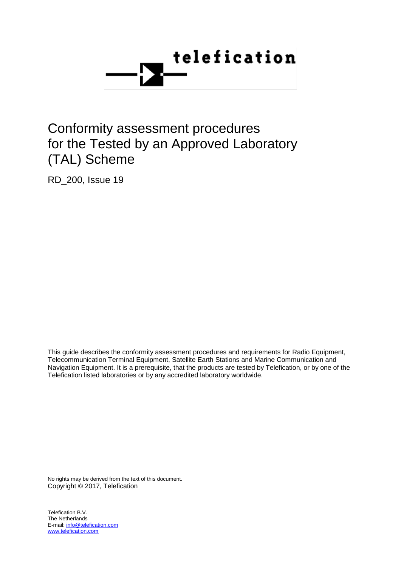

# Conformity assessment procedures for the Tested by an Approved Laboratory (TAL) Scheme

RD\_200, Issue 19

This guide describes the conformity assessment procedures and requirements for Radio Equipment, Telecommunication Terminal Equipment, Satellite Earth Stations and Marine Communication and Navigation Equipment. It is a prerequisite, that the products are tested by Telefication, or by one of the Telefication listed laboratories or by any accredited laboratory worldwide.

No rights may be derived from the text of this document. Copyright © 2017, Telefication

Telefication B.V. The Netherlands E-mail: info@telefication.com www.telefication.com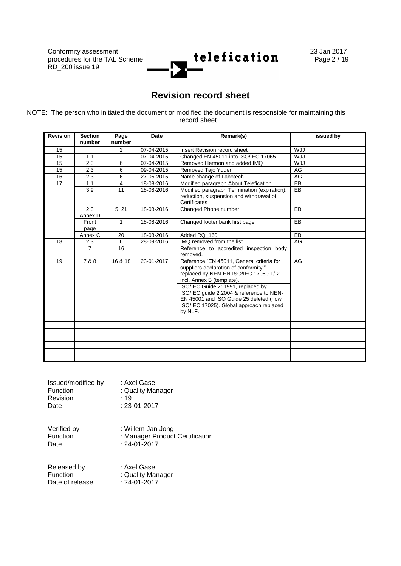

## **Revision record sheet**

NOTE: The person who initiated the document or modified the document is responsible for maintaining this record sheet

| <b>Revision</b> | <b>Section</b><br>number | Page<br>number | <b>Date</b> | Remark(s)                                                                                                                                                                                                                                                                                                                                   | issued by  |
|-----------------|--------------------------|----------------|-------------|---------------------------------------------------------------------------------------------------------------------------------------------------------------------------------------------------------------------------------------------------------------------------------------------------------------------------------------------|------------|
| 15              |                          | $\overline{2}$ | 07-04-2015  | Insert Revision record sheet                                                                                                                                                                                                                                                                                                                | <b>WJJ</b> |
| 15              | 1.1                      |                | 07-04-2015  | Changed EN 45011 into ISO/IEC 17065                                                                                                                                                                                                                                                                                                         | <b>WJJ</b> |
| 15              | 2.3                      | 6              | 07-04-2015  | Removed Hermon and added IMQ                                                                                                                                                                                                                                                                                                                | <b>WJJ</b> |
| 15              | 2.3                      | 6              | 09-04-2015  | Removed Tajo Yuden                                                                                                                                                                                                                                                                                                                          | AG         |
| 16              | 2.3                      | 6              | 27-05-2015  | Name change of Labotech                                                                                                                                                                                                                                                                                                                     | AG         |
| $\overline{17}$ | 1.1                      | $\overline{4}$ | 18-08-2016  | Modified paragraph About Telefication                                                                                                                                                                                                                                                                                                       | $E$ B      |
|                 | 3.9                      | 11             | 18-08-2016  | Modified paragraph Termination (expiration),<br>reduction, suspension and withdrawal of<br>Certificates                                                                                                                                                                                                                                     | <b>EB</b>  |
|                 | 2.3<br>Annex D           | 5, 21          | 18-08-2016  | Changed Phone number                                                                                                                                                                                                                                                                                                                        | EB         |
|                 | Front<br>page            | 1              | 18-08-2016  | Changed footer bank first page                                                                                                                                                                                                                                                                                                              | EB         |
|                 | Annex C                  | 20             | 18-08-2016  | Added RQ_160                                                                                                                                                                                                                                                                                                                                | $E$ B      |
| 18              | 2.3                      | 6              | 28-09-2016  | IMQ removed from the list                                                                                                                                                                                                                                                                                                                   | AG         |
|                 | $\overline{7}$           | 16             |             | Reference to accredited inspection body<br>removed.                                                                                                                                                                                                                                                                                         |            |
| 19              | 7 & 8                    | 16 & 18        | 23-01-2017  | Reference "EN 45011, General criteria for<br>suppliers declaration of conformity."<br>replaced by NEN-EN-ISO/IEC 17050-1/-2<br>incl. Annex B (template).<br>ISO/IEC Guide 2: 1991, replaced by<br>ISO/IEC quide 2:2004 & reference to NEN-<br>EN 45001 and ISO Guide 25 deleted (now<br>ISO/IEC 17025). Global approach replaced<br>by NLF. | AG         |
|                 |                          |                |             |                                                                                                                                                                                                                                                                                                                                             |            |
|                 |                          |                |             |                                                                                                                                                                                                                                                                                                                                             |            |
|                 |                          |                |             |                                                                                                                                                                                                                                                                                                                                             |            |
|                 |                          |                |             |                                                                                                                                                                                                                                                                                                                                             |            |
|                 |                          |                |             |                                                                                                                                                                                                                                                                                                                                             |            |
|                 |                          |                |             |                                                                                                                                                                                                                                                                                                                                             |            |
|                 |                          |                |             |                                                                                                                                                                                                                                                                                                                                             |            |

| Issued/modified by | : Axel Gase        |
|--------------------|--------------------|
| Function           | : Quality Manager  |
| Revision           | : 19               |
| Date               | $: 23 - 01 - 2017$ |

Verified by : Willem Jan Jong Function : Manager Product Certification<br>Date : 24-01-2017

 $: 24 - 01 - 2017$ 

Released by : Axel Gase<br>
Function : Quality Mar : Quality Manager<br>: 24-01-2017 Date of release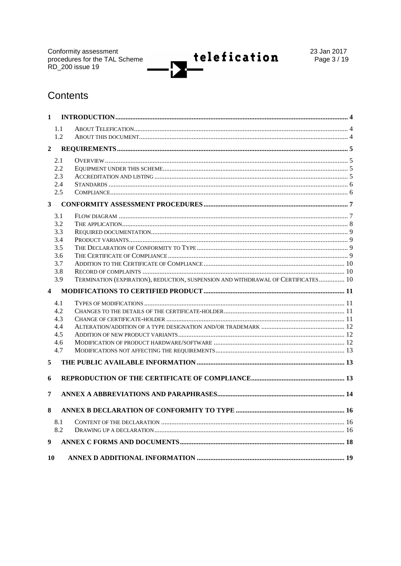Conformity assessment<br>procedures for the TAL Scheme<br>RD\_200 issue 19



23 Jan 2017 Page 3 / 19

## Contents

| $\mathbf{1}$            |                |                                                                                   |  |
|-------------------------|----------------|-----------------------------------------------------------------------------------|--|
|                         | 1.1            |                                                                                   |  |
|                         | 1.2            |                                                                                   |  |
| $\mathbf{2}$            |                |                                                                                   |  |
|                         | 2.1            |                                                                                   |  |
|                         | 2.2            |                                                                                   |  |
|                         | 2.3            |                                                                                   |  |
|                         | 2.4            |                                                                                   |  |
|                         | 2.5            |                                                                                   |  |
|                         | 3 <sup>1</sup> |                                                                                   |  |
|                         | 3.1            |                                                                                   |  |
|                         | 3.2            |                                                                                   |  |
|                         | 3.3            |                                                                                   |  |
|                         | 3.4            |                                                                                   |  |
|                         | 3.5            |                                                                                   |  |
|                         | 3.6            |                                                                                   |  |
|                         | 3.7            |                                                                                   |  |
|                         | 3.8            |                                                                                   |  |
|                         | 3.9            | TERMINATION (EXPIRATION), REDUCTION, SUSPENSION AND WITHDRAWAL OF CERTIFICATES 10 |  |
| $\overline{\mathbf{4}}$ |                |                                                                                   |  |
|                         |                |                                                                                   |  |
|                         | 4.1            |                                                                                   |  |
|                         | 4.2            |                                                                                   |  |
|                         | 4.3            |                                                                                   |  |
|                         | 4.4            |                                                                                   |  |
|                         | 4.5            |                                                                                   |  |
|                         | 4.6            |                                                                                   |  |
|                         | 4.7            |                                                                                   |  |
| 5                       |                |                                                                                   |  |
| 6                       |                |                                                                                   |  |
| 7                       |                |                                                                                   |  |
|                         |                |                                                                                   |  |
| 8                       |                |                                                                                   |  |
|                         | 8.1            |                                                                                   |  |
|                         | 8.2            |                                                                                   |  |
| 9                       |                |                                                                                   |  |
| 10                      |                |                                                                                   |  |
|                         |                |                                                                                   |  |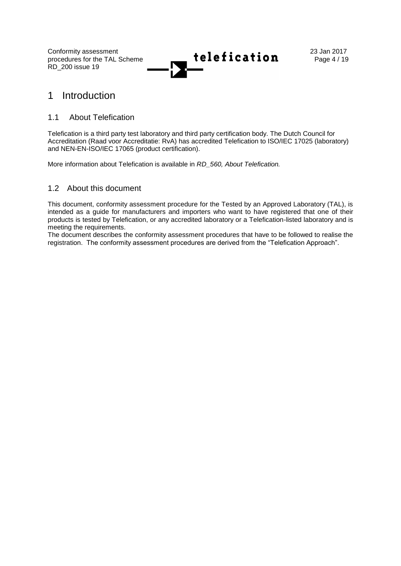

## 1 Introduction

## 1.1 About Telefication

Telefication is a third party test laboratory and third party certification body. The Dutch Council for Accreditation (Raad voor Accreditatie: RvA) has accredited Telefication to ISO/IEC 17025 (laboratory) and NEN-EN-ISO/IEC 17065 (product certification).

More information about Telefication is available in *RD\_560, About Telefication.*

## 1.2 About this document

This document, conformity assessment procedure for the Tested by an Approved Laboratory (TAL), is intended as a guide for manufacturers and importers who want to have registered that one of their products is tested by Telefication, or any accredited laboratory or a Telefication-listed laboratory and is meeting the requirements.

The document describes the conformity assessment procedures that have to be followed to realise the registration. The conformity assessment procedures are derived from the "Telefication Approach".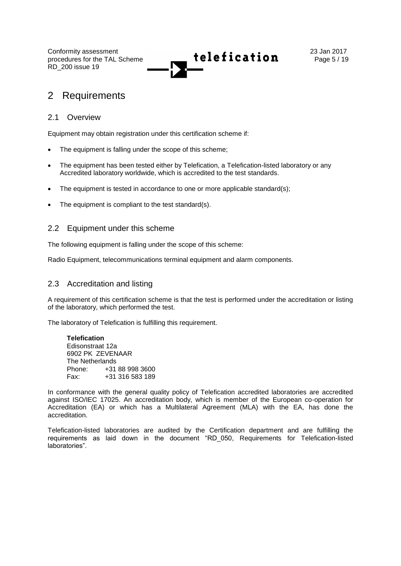

## 2 Requirements

### 2.1 Overview

Equipment may obtain registration under this certification scheme if:

- The equipment is falling under the scope of this scheme;
- The equipment has been tested either by Telefication, a Telefication-listed laboratory or any Accredited laboratory worldwide, which is accredited to the test standards.
- The equipment is tested in accordance to one or more applicable standard(s);
- The equipment is compliant to the test standard(s).

## 2.2 Equipment under this scheme

The following equipment is falling under the scope of this scheme:

Radio Equipment, telecommunications terminal equipment and alarm components.

### 2.3 Accreditation and listing

A requirement of this certification scheme is that the test is performed under the accreditation or listing of the laboratory, which performed the test.

The laboratory of Telefication is fulfilling this requirement.

**Telefication** Edisonstraat 12a 6902 PK ZEVENAAR The Netherlands Phone: +31 88 998 3600 Fax: +31 316 583 189

In conformance with the general quality policy of Telefication accredited laboratories are accredited against ISO/IEC 17025. An accreditation body, which is member of the European co-operation for Accreditation (EA) or which has a Multilateral Agreement (MLA) with the EA, has done the accreditation.

Telefication-listed laboratories are audited by the Certification department and are fulfilling the requirements as laid down in the document "RD\_050, Requirements for Telefication-listed laboratories".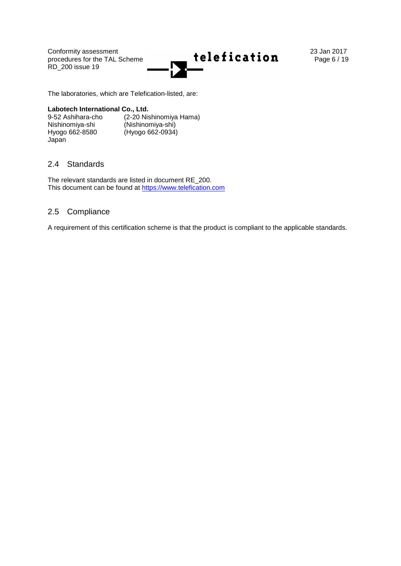

The laboratories, which are Telefication-listed, are:

### **Labotech International Co., Ltd.**

Nishinomiya-shi (Nishinomiya-shi) Hyogo 662-8580 (Hyogo 662-0934) Japan

9-52 Ashihara-cho (2-20 Nishinomiya Hama)

## 2.4 Standards

The relevant standards are listed in document RE\_200. This document can be found at [https://www.telefication.com](https://www.telefication.com/)

## 2.5 Compliance

A requirement of this certification scheme is that the product is compliant to the applicable standards.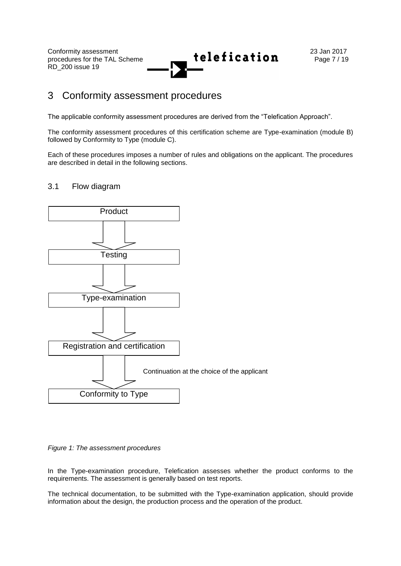

## 3 Conformity assessment procedures

The applicable conformity assessment procedures are derived from the "Telefication Approach".

The conformity assessment procedures of this certification scheme are Type-examination (module B) followed by Conformity to Type (module C).

Each of these procedures imposes a number of rules and obligations on the applicant. The procedures are described in detail in the following sections.

## 3.1 Flow diagram



*Figure 1: The assessment procedures*

In the Type-examination procedure, Telefication assesses whether the product conforms to the requirements. The assessment is generally based on test reports.

The technical documentation, to be submitted with the Type-examination application, should provide information about the design, the production process and the operation of the product.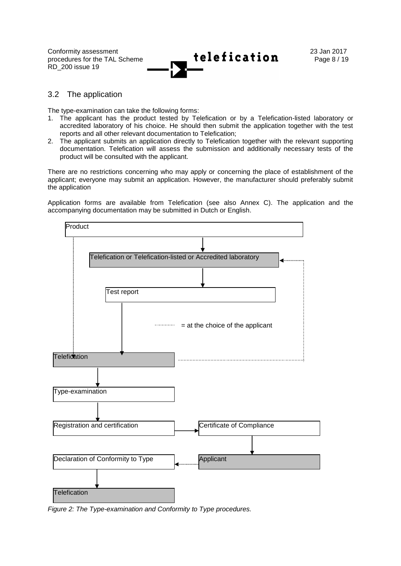

### 3.2 The application

The type-examination can take the following forms:

- 1. The applicant has the product tested by Telefication or by a Telefication-listed laboratory or accredited laboratory of his choice. He should then submit the application together with the test reports and all other relevant documentation to Telefication;
- 2. The applicant submits an application directly to Telefication together with the relevant supporting documentation. Telefication will assess the submission and additionally necessary tests of the product will be consulted with the applicant.

There are no restrictions concerning who may apply or concerning the place of establishment of the applicant; everyone may submit an application. However, the manufacturer should preferably submit the application

Application forms are available from Telefication (see also Annex C). The application and the accompanying documentation may be submitted in Dutch or English.



*Figure 2: The Type-examination and Conformity to Type procedures.*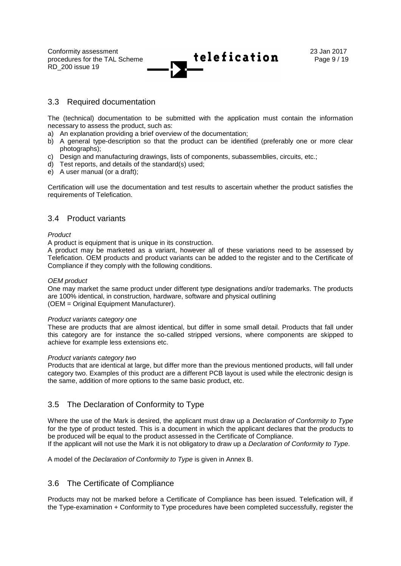

### 3.3 Required documentation

The (technical) documentation to be submitted with the application must contain the information necessary to assess the product, such as:

- a) An explanation providing a brief overview of the documentation;
- b) A general type-description so that the product can be identified (preferably one or more clear photographs);
- c) Design and manufacturing drawings, lists of components, subassemblies, circuits, etc.;
- d) Test reports, and details of the standard(s) used;
- e) A user manual (or a draft);

Certification will use the documentation and test results to ascertain whether the product satisfies the requirements of Telefication.

### 3.4 Product variants

#### *Product*

A product is equipment that is unique in its construction.

A product may be marketed as a variant, however all of these variations need to be assessed by Telefication. OEM products and product variants can be added to the register and to the Certificate of Compliance if they comply with the following conditions.

#### *OEM product*

One may market the same product under different type designations and/or trademarks. The products are 100% identical, in construction, hardware, software and physical outlining (OEM = Original Equipment Manufacturer).

#### *Product variants category one*

These are products that are almost identical, but differ in some small detail. Products that fall under this category are for instance the so-called stripped versions, where components are skipped to achieve for example less extensions etc.

#### *Product variants category two*

Products that are identical at large, but differ more than the previous mentioned products, will fall under category two. Examples of this product are a different PCB layout is used while the electronic design is the same, addition of more options to the same basic product, etc.

## 3.5 The Declaration of Conformity to Type

Where the use of the Mark is desired, the applicant must draw up a *Declaration of Conformity to Type* for the type of product tested. This is a document in which the applicant declares that the products to be produced will be equal to the product assessed in the Certificate of Compliance. If the applicant will not use the Mark it is not obligatory to draw up a *Declaration of Conformity to Type*.

A model of the *Declaration of Conformity to Type* is given in Annex B.

## 3.6 The Certificate of Compliance

Products may not be marked before a Certificate of Compliance has been issued. Telefication will, if the Type-examination + Conformity to Type procedures have been completed successfully, register the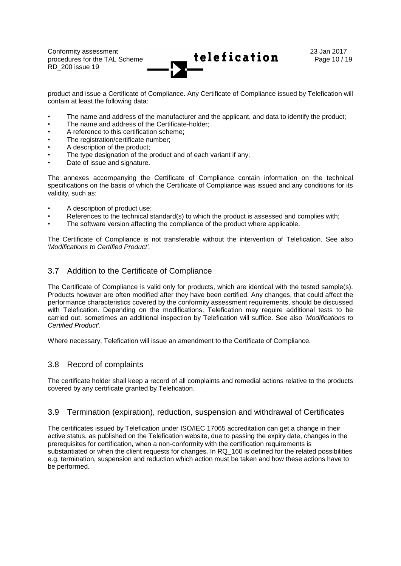

product and issue a Certificate of Compliance. Any Certificate of Compliance issued by Telefication will contain at least the following data:

- The name and address of the manufacturer and the applicant, and data to identify the product;
- The name and address of the Certificate-holder:
- A reference to this certification scheme;
- The registration/certificate number:
- A description of the product:
- The type designation of the product and of each variant if any;
- Date of issue and signature.

The annexes accompanying the Certificate of Compliance contain information on the technical specifications on the basis of which the Certificate of Compliance was issued and any conditions for its validity, such as:

- A description of product use;
- References to the technical standard(s) to which the product is assessed and complies with;
- The software version affecting the compliance of the product where applicable.

The Certificate of Compliance is not transferable without the intervention of Telefication. See also *'Modifications to Certified Product'.*

## 3.7 Addition to the Certificate of Compliance

The Certificate of Compliance is valid only for products, which are identical with the tested sample(s). Products however are often modified after they have been certified. Any changes, that could affect the performance characteristics covered by the conformity assessment requirements, should be discussed with Telefication. Depending on the modifications, Telefication may require additional tests to be carried out, sometimes an additional inspection by Telefication will suffice. See also *'Modifications to Certified Product'*.

Where necessary, Telefication will issue an amendment to the Certificate of Compliance.

## 3.8 Record of complaints

The certificate holder shall keep a record of all complaints and remedial actions relative to the products covered by any certificate granted by Telefication.

## 3.9 Termination (expiration), reduction, suspension and withdrawal of Certificates

The certificates issued by Telefication under ISO/IEC 17065 accreditation can get a change in their active status, as published on the Telefication website, due to passing the expiry date, changes in the prerequisites for certification, when a non-conformity with the certification requirements is substantiated or when the client requests for changes. In RQ\_160 is defined for the related possibilities e.g. termination, suspension and reduction which action must be taken and how these actions have to be performed.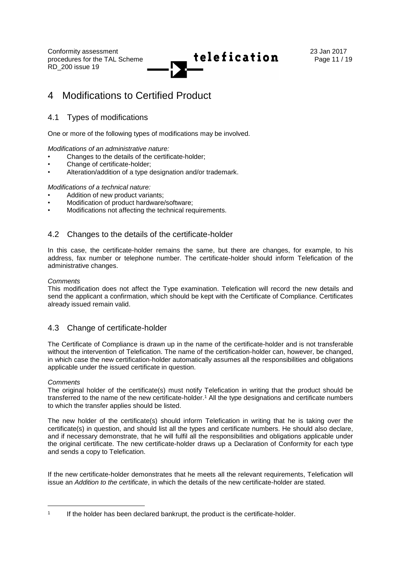

## 4 Modifications to Certified Product

## 4.1 Types of modifications

One or more of the following types of modifications may be involved.

*Modifications of an administrative nature:*

- Changes to the details of the certificate-holder;
- Change of certificate-holder;
- Alteration/addition of a type designation and/or trademark.

*Modifications of a technical nature:*

- Addition of new product variants;
- Modification of product hardware/software;
- Modifications not affecting the technical requirements.

## 4.2 Changes to the details of the certificate-holder

In this case, the certificate-holder remains the same, but there are changes, for example, to his address, fax number or telephone number. The certificate-holder should inform Telefication of the administrative changes.

### *Comments*

This modification does not affect the Type examination. Telefication will record the new details and send the applicant a confirmation, which should be kept with the Certificate of Compliance. Certificates already issued remain valid.

## 4.3 Change of certificate-holder

The Certificate of Compliance is drawn up in the name of the certificate-holder and is not transferable without the intervention of Telefication. The name of the certification-holder can, however, be changed, in which case the new certification-holder automatically assumes all the responsibilities and obligations applicable under the issued certificate in question.

### *Comments*

l

The original holder of the certificate(s) must notify Telefication in writing that the product should be transferred to the name of the new certificate-holder.<sup>1</sup> All the type designations and certificate numbers to which the transfer applies should be listed.

The new holder of the certificate(s) should inform Telefication in writing that he is taking over the certificate(s) in question, and should list all the types and certificate numbers. He should also declare, and if necessary demonstrate, that he will fulfil all the responsibilities and obligations applicable under the original certificate. The new certificate-holder draws up a Declaration of Conformity for each type and sends a copy to Telefication.

If the new certificate-holder demonstrates that he meets all the relevant requirements, Telefication will issue an *Addition to the certificate*, in which the details of the new certificate-holder are stated.

<sup>1</sup> If the holder has been declared bankrupt, the product is the certificate-holder.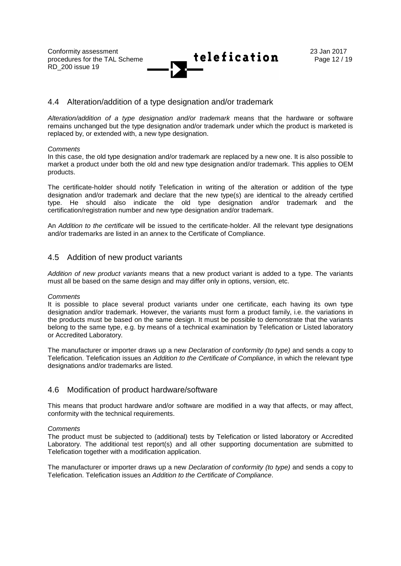

### 4.4 Alteration/addition of a type designation and/or trademark

*Alteration/addition of a type designation and/or trademark* means that the hardware or software remains unchanged but the type designation and/or trademark under which the product is marketed is replaced by, or extended with, a new type designation.

#### *Comments*

In this case, the old type designation and/or trademark are replaced by a new one. It is also possible to market a product under both the old and new type designation and/or trademark. This applies to OEM products.

The certificate-holder should notify Telefication in writing of the alteration or addition of the type designation and/or trademark and declare that the new type(s) are identical to the already certified type. He should also indicate the old type designation and/or trademark and the certification/registration number and new type designation and/or trademark.

An *Addition to the certificate* will be issued to the certificate-holder. All the relevant type designations and/or trademarks are listed in an annex to the Certificate of Compliance.

## 4.5 Addition of new product variants

*Addition of new product variants* means that a new product variant is added to a type. The variants must all be based on the same design and may differ only in options, version, etc.

#### *Comments*

It is possible to place several product variants under one certificate, each having its own type designation and/or trademark. However, the variants must form a product family, i.e. the variations in the products must be based on the same design. It must be possible to demonstrate that the variants belong to the same type, e.g. by means of a technical examination by Telefication or Listed laboratory or Accredited Laboratory.

The manufacturer or importer draws up a new *Declaration of conformity (to type)* and sends a copy to Telefication. Telefication issues an *Addition to the Certificate of Compliance*, in which the relevant type designations and/or trademarks are listed.

## 4.6 Modification of product hardware/software

This means that product hardware and/or software are modified in a way that affects, or may affect, conformity with the technical requirements.

#### *Comments*

The product must be subjected to (additional) tests by Telefication or listed laboratory or Accredited Laboratory. The additional test report(s) and all other supporting documentation are submitted to Telefication together with a modification application.

The manufacturer or importer draws up a new *Declaration of conformity (to type)* and sends a copy to Telefication. Telefication issues an *Addition to the Certificate of Compliance*.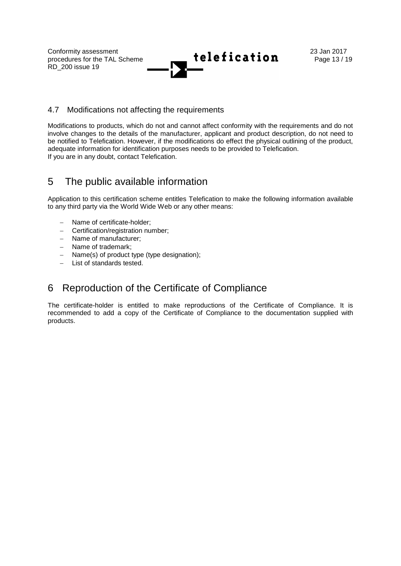

## 4.7 Modifications not affecting the requirements

Modifications to products, which do not and cannot affect conformity with the requirements and do not involve changes to the details of the manufacturer, applicant and product description, do not need to be notified to Telefication. However, if the modifications do effect the physical outlining of the product, adequate information for identification purposes needs to be provided to Telefication. If you are in any doubt, contact Telefication.

## 5 The public available information

Application to this certification scheme entitles Telefication to make the following information available to any third party via the World Wide Web or any other means:

- Name of certificate-holder;
- Certification/registration number;
- Name of manufacturer;
- Name of trademark:
- Name(s) of product type (type designation);
- List of standards tested.

## 6 Reproduction of the Certificate of Compliance

The certificate-holder is entitled to make reproductions of the Certificate of Compliance. It is recommended to add a copy of the Certificate of Compliance to the documentation supplied with products.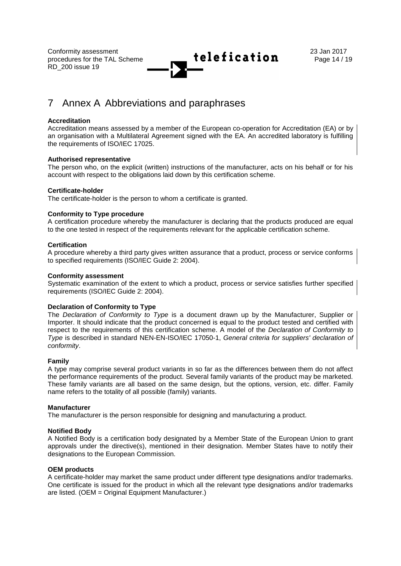

## 7 Annex A Abbreviations and paraphrases

#### **Accreditation**

Accreditation means assessed by a member of the European co-operation for Accreditation (EA) or by an organisation with a Multilateral Agreement signed with the EA. An accredited laboratory is fulfilling the requirements of ISO/IEC 17025.

### **Authorised representative**

The person who, on the explicit (written) instructions of the manufacturer, acts on his behalf or for his account with respect to the obligations laid down by this certification scheme.

### **Certificate-holder**

The certificate-holder is the person to whom a certificate is granted.

### **Conformity to Type procedure**

A certification procedure whereby the manufacturer is declaring that the products produced are equal to the one tested in respect of the requirements relevant for the applicable certification scheme.

#### **Certification**

A procedure whereby a third party gives written assurance that a product, process or service conforms to specified requirements (ISO/IEC Guide 2: 2004).

#### **Conformity assessment**

Systematic examination of the extent to which a product, process or service satisfies further specified requirements (ISO/IEC Guide 2: 2004).

#### **Declaration of Conformity to Type**

The *Declaration of Conformity to Type* is a document drawn up by the Manufacturer, Supplier or Importer. It should indicate that the product concerned is equal to the product tested and certified with respect to the requirements of this certification scheme. A model of the *Declaration of Conformity to Type* is described in standard NEN-EN-ISO/IEC 17050-1, *General criteria for suppliers' declaration of conformity*.

#### **Family**

A type may comprise several product variants in so far as the differences between them do not affect the performance requirements of the product. Several family variants of the product may be marketed. These family variants are all based on the same design, but the options, version, etc. differ. Family name refers to the totality of all possible (family) variants.

#### **Manufacturer**

The manufacturer is the person responsible for designing and manufacturing a product.

#### **Notified Body**

A Notified Body is a certification body designated by a Member State of the European Union to grant approvals under the directive(s), mentioned in their designation. Member States have to notify their designations to the European Commission.

#### **OEM products**

A certificate-holder may market the same product under different type designations and/or trademarks. One certificate is issued for the product in which all the relevant type designations and/or trademarks are listed. (OEM = Original Equipment Manufacturer.)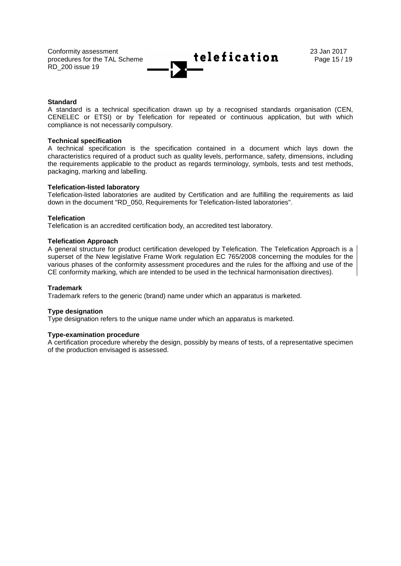

### **Standard**

A standard is a technical specification drawn up by a recognised standards organisation (CEN, CENELEC or ETSI) or by Telefication for repeated or continuous application, but with which compliance is not necessarily compulsory.

#### **Technical specification**

A technical specification is the specification contained in a document which lays down the characteristics required of a product such as quality levels, performance, safety, dimensions, including the requirements applicable to the product as regards terminology, symbols, tests and test methods, packaging, marking and labelling.

#### **Telefication-listed laboratory**

Telefication-listed laboratories are audited by Certification and are fulfilling the requirements as laid down in the document "RD\_050, Requirements for Telefication-listed laboratories".

### **Telefication**

Telefication is an accredited certification body, an accredited test laboratory.

### **Telefication Approach**

A general structure for product certification developed by Telefication. The Telefication Approach is a superset of the New legislative Frame Work regulation EC 765/2008 concerning the modules for the various phases of the conformity assessment procedures and the rules for the affixing and use of the CE conformity marking, which are intended to be used in the technical harmonisation directives).

#### **Trademark**

Trademark refers to the generic (brand) name under which an apparatus is marketed.

### **Type designation**

Type designation refers to the unique name under which an apparatus is marketed.

#### **Type-examination procedure**

A certification procedure whereby the design, possibly by means of tests, of a representative specimen of the production envisaged is assessed.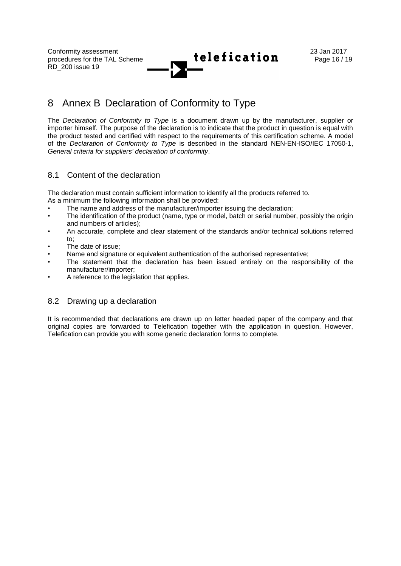

## 8 Annex B Declaration of Conformity to Type

The *Declaration of Conformity to Type* is a document drawn up by the manufacturer, supplier or importer himself. The purpose of the declaration is to indicate that the product in question is equal with the product tested and certified with respect to the requirements of this certification scheme. A model of the *Declaration of Conformity to Type* is described in the standard NEN-EN-ISO/IEC 17050-1, *General criteria for suppliers' declaration of conformity*.

## 8.1 Content of the declaration

The declaration must contain sufficient information to identify all the products referred to. As a minimum the following information shall be provided:

- The name and address of the manufacturer/importer issuing the declaration;
- The identification of the product (name, type or model, batch or serial number, possibly the origin and numbers of articles);
- An accurate, complete and clear statement of the standards and/or technical solutions referred to;
- The date of issue;
- Name and signature or equivalent authentication of the authorised representative;
- The statement that the declaration has been issued entirely on the responsibility of the manufacturer/importer;
- A reference to the legislation that applies.

## 8.2 Drawing up a declaration

It is recommended that declarations are drawn up on letter headed paper of the company and that original copies are forwarded to Telefication together with the application in question. However, Telefication can provide you with some generic declaration forms to complete.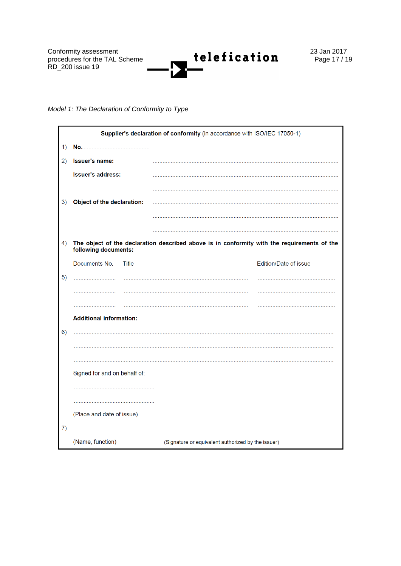

## *Model 1: The Declaration of Conformity to Type*

|    | Supplier's declaration of conformity (in accordance with ISO/IEC 17050-1) |                                                                                             |  |  |  |
|----|---------------------------------------------------------------------------|---------------------------------------------------------------------------------------------|--|--|--|
| 1) |                                                                           |                                                                                             |  |  |  |
| 2) | Issuer's name:                                                            |                                                                                             |  |  |  |
|    | <b>Issuer's address:</b>                                                  |                                                                                             |  |  |  |
|    |                                                                           |                                                                                             |  |  |  |
| 3) | Object of the declaration:                                                |                                                                                             |  |  |  |
|    |                                                                           |                                                                                             |  |  |  |
|    |                                                                           |                                                                                             |  |  |  |
| 4) | following documents:                                                      | The object of the declaration described above is in conformity with the requirements of the |  |  |  |
|    | Documents No.<br>Title                                                    | Edition/Date of issue                                                                       |  |  |  |
| 5) |                                                                           |                                                                                             |  |  |  |
|    |                                                                           |                                                                                             |  |  |  |
|    |                                                                           |                                                                                             |  |  |  |
|    | <b>Additional information:</b>                                            |                                                                                             |  |  |  |
| 6) |                                                                           |                                                                                             |  |  |  |
|    |                                                                           |                                                                                             |  |  |  |
|    |                                                                           |                                                                                             |  |  |  |
|    | Signed for and on behalf of:                                              |                                                                                             |  |  |  |
|    |                                                                           |                                                                                             |  |  |  |
|    | (Place and date of issue)                                                 |                                                                                             |  |  |  |
| 7) |                                                                           |                                                                                             |  |  |  |
|    | (Name, function)                                                          | (Signature or equivalent authorized by the issuer)                                          |  |  |  |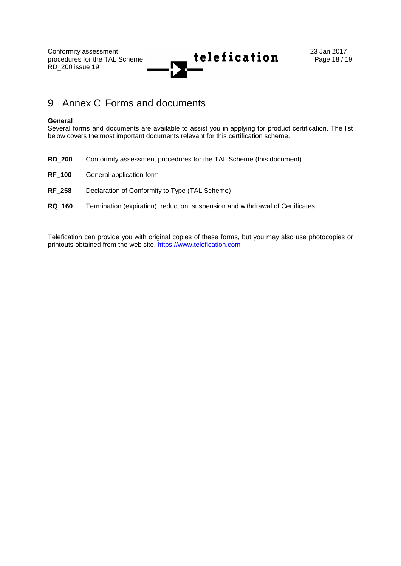

## 9 Annex C Forms and documents

#### **General**

Several forms and documents are available to assist you in applying for product certification. The list below covers the most important documents relevant for this certification scheme.

**RD\_200** Conformity assessment procedures for the TAL Scheme (this document) **RF\_100** General application form **RF\_258** Declaration of Conformity to Type (TAL Scheme) **RQ\_160** Termination (expiration), reduction, suspension and withdrawal of Certificates

Telefication can provide you with original copies of these forms, but you may also use photocopies or printouts obtained from the web site. [https://www.telefication.com](https://www.telefication.com/)